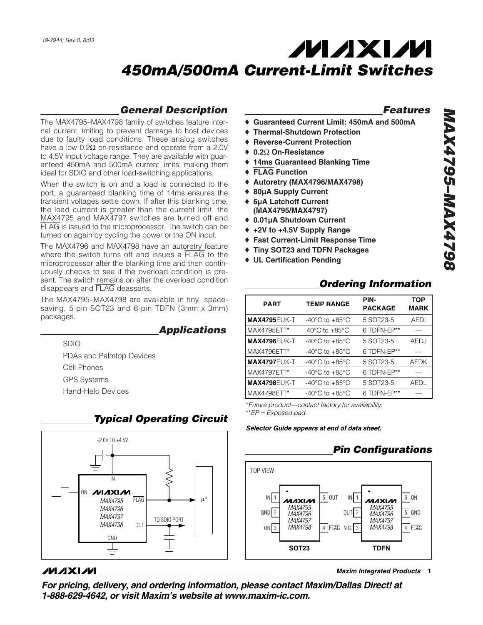# **MAXM** *450mA/500mA Current-Limit Switches*

## *General Description*

The MAX4795–MAX4798 family of switches feature internal current limiting to prevent damage to host devices due to faulty load conditions. These analog switches have a low  $0.2Ω$  on-resistance and operate from a 2.0V to 4.5V input voltage range. They are available with guaranteed 450mA and 500mA current limits, making them ideal for SDIO and other load-switching applications.

When the switch is on and a load is connected to the port, a guaranteed blanking time of 14ms ensures the transient voltages settle down. If after this blanking time, the load current is greater than the current limit, the MAX4795 and MAX4797 switches are turned off and FLAG is issued to the microprocessor. The switch can be turned on again by cycling the power or the ON input.

The MAX4796 and MAX4798 have an autoretry feature where the switch turns off and issues a FLAG to the microprocessor after the blanking time and then continuously checks to see if the overload condition is present. The switch remains on after the overload condition disappears and FLAG deasserts.

The MAX4795–MAX4798 are available in tiny, spacesaving, 5-pin SOT23 and 6-pin TDFN (3mm x 3mm) packages.

## *Applications*

SDIO

PDAs and Palmtop Devices Cell Phones GPS Systems Hand-Held Devices

# *Typical Operating Circuit*



## $MNIM$

*Features*

- ♦ **Guaranteed Current Limit: 450mA and 500mA**
- ♦ **Thermal-Shutdown Protection**
- **Reverse-Current Protection**
- ♦ **0.2**Ω **On-Resistance**
- ♦ **14ms Guaranteed Blanking Time**
- ♦ FLAG **Function**
- ♦ **Autoretry (MAX4796/MAX4798)**
- ♦ **80µA Supply Current**
- ♦ **6µA Latchoff Current (MAX4795/MAX4797)**
- ♦ **0.01µA Shutdown Current**
- ♦ **+2V to +4.5V Supply Range**
- ♦ **Fast Current-Limit Response Time**
- ♦ **Tiny SOT23 and TDFN Packages**
- ♦ **UL Certification Pending**

|                     |                                      | <b>Ordering Information</b> |                           |
|---------------------|--------------------------------------|-----------------------------|---------------------------|
| <b>PART</b>         | <b>TEMP RANGE</b>                    | PIN-<br><b>PACKAGE</b>      | <b>TOP</b><br><b>MARK</b> |
| <b>MAX4795EUK-T</b> | $-40^{\circ}$ C to $+85^{\circ}$ C   | 5 SOT23-5                   | <b>AEDI</b>               |
| MAX4795ETT*         | 40 $^{\circ}$ C to +85 $^{\circ}$ C  | 6 TDFN-EP**                 |                           |
| <b>MAX4796EUK-T</b> | $-40^{\circ}$ C to $+85^{\circ}$ C   | 5 SOT23-5                   | AEDJ                      |
| MAX4796ETT*         | $-40^{\circ}$ C to $+85^{\circ}$ C   | 6 TDFN-EP**                 |                           |
| <b>MAX4797EUK-T</b> | $-40^{\circ}$ C to $+85^{\circ}$ C   | 5 SOT23-5                   | <b>AEDK</b>               |
| MAX4797ETT*         | -40 $^{\circ}$ C to +85 $^{\circ}$ C | 6 TDFN-EP**                 |                           |
| <b>MAX4798EUK-T</b> | $-40^{\circ}$ C to $+85^{\circ}$ C   | 5 SOT23-5                   | AEDL                      |
| MAX4798ETT*         | $-40^{\circ}$ C to $+85^{\circ}$ C   | 6 TDFN-EP**                 |                           |
|                     |                                      |                             |                           |

\**Future product—contact factory for availability.* \*\**EP = Exposed pad.*

*Selector Guide appears at end of data sheet.*

# *Pin Configurations*



#### **\_\_\_\_\_\_\_\_\_\_\_\_\_\_\_\_\_\_\_\_\_\_\_\_\_\_\_\_\_\_\_\_\_\_\_\_\_\_\_\_\_\_\_\_\_\_\_\_\_\_\_\_\_\_\_\_\_\_\_\_\_\_\_\_** *Maxim Integrated Products* **1**

*For pricing, delivery, and ordering information, please contact Maxim/Dallas Direct! at 1-888-629-4642, or visit Maxim's website at www.maxim-ic.com.*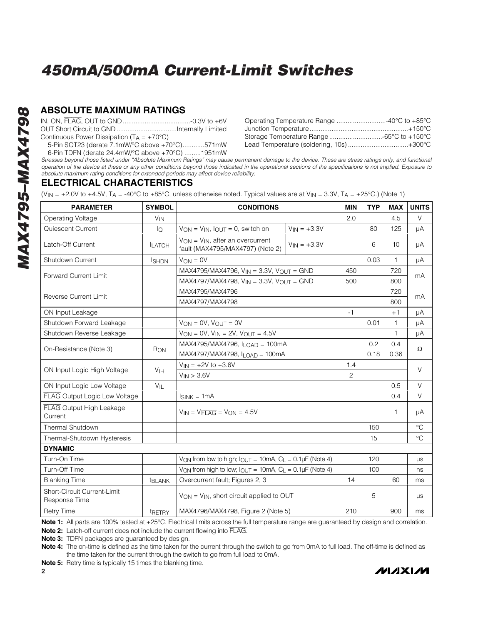## **ABSOLUTE MAXIMUM RATINGS**

IN, ON, FLAG, OUT to GND.....................................-0.3V to +6V OUT Short Circuit to GND.................................Internally Limited Continuous Power Dissipation ( $T_A = +70^{\circ}C$ )

5-Pin SOT23 (derate 7.1mW/°C above +70°C)............571mW 6-Pin TDFN (derate 24.4mW/°C above +70°C) .........1951mW

| Operating Temperature Range 40°C to +85°C |
|-------------------------------------------|
|                                           |
| Storage Temperature Range -65°C to +150°C |
| Lead Temperature (soldering, 10s)+300°C   |
|                                           |

**MAXM** 

*Stresses beyond those listed under "Absolute Maximum Ratings" may cause permanent damage to the device. These are stress ratings only, and functional operation of the device at these or any other conditions beyond those indicated in the operational sections of the specifications is not implied. Exposure to absolute maximum rating conditions for extended periods may affect device reliability.*

## **ELECTRICAL CHARACTERISTICS**

*MAX4795–MAX4798*

867.4XAM-562.4XAM

(V<sub>IN</sub> = +2.0V to +4.5V, T<sub>A</sub> = -40°C to +85°C, unless otherwise noted. Typical values are at V<sub>IN</sub> = 3.3V, T<sub>A</sub> = +25°C.) (Note 1)

| <b>PARAMETER</b>                             | <b>SYMBOL</b>         | <b>CONDITIONS</b>                                                                                              |                  | <b>MIN</b> | <b>TYP</b> | <b>MAX</b>   | <b>UNITS</b> |
|----------------------------------------------|-----------------------|----------------------------------------------------------------------------------------------------------------|------------------|------------|------------|--------------|--------------|
| Operating Voltage                            | <b>V<sub>IN</sub></b> |                                                                                                                |                  | 2.0        |            | 4.5          | $\vee$       |
| Quiescent Current                            | lo                    | $V_{ON} = V_{IN}$ , $I_{OUT} = 0$ , switch on                                                                  | $V_{IN} = +3.3V$ |            | 80         | 125          | μA           |
| Latch-Off Current                            | <b>LATCH</b>          | $V_{ON} = V_{IN}$ , after an overcurrent<br>fault (MAX4795/MAX4797) (Note 2)                                   | $V_{IN} = +3.3V$ |            | 6          | 10           | μA           |
| Shutdown Current                             | <b>ISHDN</b>          | $V_{ON} = 0V$                                                                                                  |                  |            | 0.03       | $\mathbf{1}$ | μA           |
| <b>Forward Current Limit</b>                 |                       | MAX4795/MAX4796, $V_{IN} = 3.3V$ , $V_{OUT} = GND$<br>MAX4797/MAX4798, $V_{IN} = 3.3V$ , $V_{OUT} = GND$       |                  | 450        |            | 720          | mA           |
|                                              |                       |                                                                                                                |                  | 500        |            | 800          |              |
| <b>Reverse Current Limit</b>                 |                       | MAX4795/MAX4796<br>MAX4797/MAX4798                                                                             |                  |            |            | 720          | mA           |
|                                              |                       |                                                                                                                |                  |            |            | 800          |              |
| ON Input Leakage                             |                       |                                                                                                                |                  | $-1$       |            | $+1$         | μA           |
| Shutdown Forward Leakage                     |                       | $V_{ON} = 0V$ , $V_{OUT} = 0V$                                                                                 |                  |            | 0.01       | $\mathbf{1}$ | μA           |
| Shutdown Reverse Leakage                     |                       | $V_{ON} = 0V$ , $V_{IN} = 2V$ , $V_{OUT} = 4.5V$                                                               |                  |            |            | $\mathbf{1}$ | μA           |
| On-Resistance (Note 3)                       | RON                   | MAX4795/MAX4796, I <sub>LOAD</sub> = 100mA                                                                     |                  |            | 0.2        | 0.4          | $\Omega$     |
|                                              |                       | $MAX4797/MAX4798, ILOAD = 100mA$                                                                               |                  |            | 0.18       | 0.36         |              |
| ON Input Logic High Voltage                  | V <sub>IH</sub>       | $V_{IN} = +2V$ to $+3.6V$                                                                                      |                  | 1.4        |            |              | $\vee$       |
|                                              |                       | $V_{IN}$ > 3.6V                                                                                                |                  | 2          |            |              |              |
| ON Input Logic Low Voltage                   | $V_{IL}$              |                                                                                                                |                  |            |            | 0.5          | $\vee$       |
| FLAG Output Logic Low Voltage                |                       | $I_{SINK} = 1mA$                                                                                               |                  |            |            | 0.4          | $\vee$       |
| FLAG Output High Leakage<br>Current          |                       | $V_{IN} = V_{FLAG} = V_{ON} = 4.5V$                                                                            |                  |            |            | $\mathbf{1}$ | μA           |
| <b>Thermal Shutdown</b>                      |                       |                                                                                                                |                  |            | 150        |              | $^{\circ}C$  |
| Thermal-Shutdown Hysteresis                  |                       |                                                                                                                |                  |            | 15         |              | $^{\circ}C$  |
| <b>DYNAMIC</b>                               |                       |                                                                                                                |                  |            |            |              |              |
| Turn-On Time                                 |                       | $V_{ON}$ from low to high; $I_{OUT} = 10mA$ , $C_L = 0.1\mu F$ (Note 4)                                        |                  |            | 120        |              | $\mu s$      |
| Turn-Off Time                                |                       | $V_{\text{ON}}$ from high to low; $I_{\text{OUT}} = 10 \text{mA}$ , $C_{\text{L}} = 0.1 \mu \text{F}$ (Note 4) |                  |            | 100        |              | ns           |
| <b>Blanking Time</b>                         | <b><i>EBLANK</i></b>  | Overcurrent fault; Figures 2, 3                                                                                |                  | 14         |            | 60           | ms           |
| Short-Circuit Current-Limit<br>Response Time |                       | $V_{ON} = V_{IN}$ , short circuit applied to OUT                                                               |                  |            | 5          |              | $\mu s$      |
| <b>Retry Time</b>                            | tRETRY                | MAX4796/MAX4798, Figure 2 (Note 5)                                                                             |                  | 210        |            | 900          | ms           |

Note 1: All parts are 100% tested at +25°C. Electrical limits across the full temperature range are quaranteed by design and correlation.

**Note 2:** Latch-off current does not include the current flowing into FLAG.

**Note 3:** TDFN packages are guaranteed by design.

**Note 4:** The on-time is defined as the time taken for the current through the switch to go from 0mA to full load. The off-time is defined as the time taken for the current through the switch to go from full load to 0mA.

**Note 5:** Retry time is typically 15 times the blanking time.

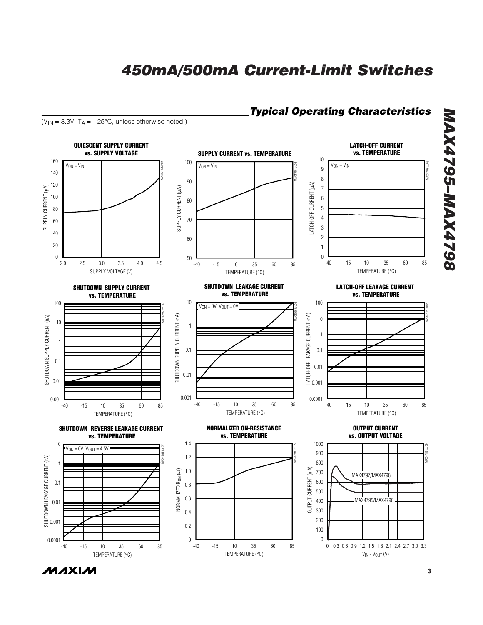## *Typical Operating Characteristics*

( $V_{IN}$  = 3.3V,  $T_A$  = +25°C, unless otherwise noted.)



**MAXIM** 

*\_\_\_\_\_\_\_\_\_\_\_\_\_\_\_\_\_\_\_\_\_\_\_\_\_\_\_\_\_\_\_\_\_\_\_\_\_\_\_\_\_\_\_\_\_\_\_\_\_\_\_\_\_\_\_\_\_\_\_\_\_\_\_\_\_\_\_\_\_\_\_\_\_\_\_\_\_\_\_\_\_\_\_\_\_\_\_* **3**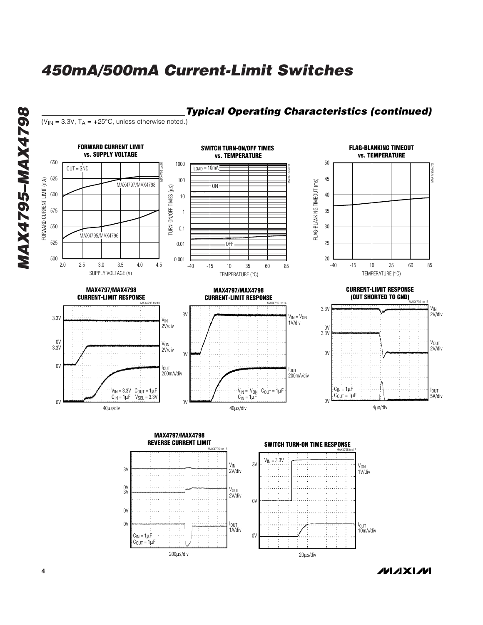

20µs/div

*MAXIM* 

200µs/div

 $C<sub>OUT</sub> = 1 \mu F$ 

*MAXAM-5674XAM MAX4795–MAX4798*

**4 \_\_\_\_\_\_\_\_\_\_\_\_\_\_\_\_\_\_\_\_\_\_\_\_\_\_\_\_\_\_\_\_\_\_\_\_\_\_\_\_\_\_\_\_\_\_\_\_\_\_\_\_\_\_\_\_\_\_\_\_\_\_\_\_\_\_\_\_\_\_\_\_\_\_\_\_\_\_\_\_\_\_\_\_\_\_\_**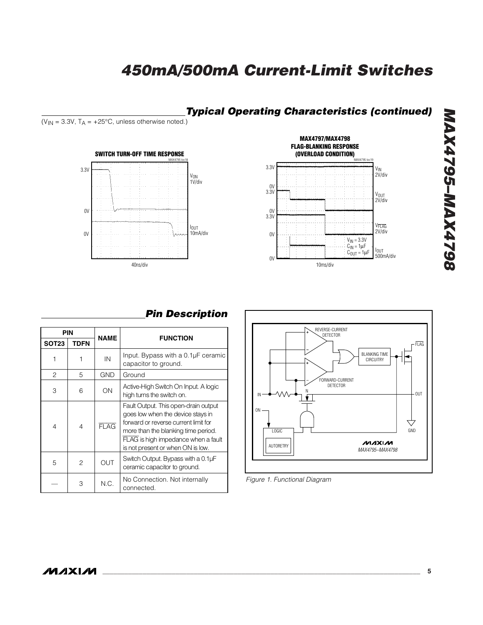## *Typical Operating Characteristics (continued)*

( $V_{IN}$  = 3.3V,  $T_A$  = +25°C, unless otherwise noted.)





# 8674795-MAX4798 *MAX4795–MAX4798*

# *Pin Description*

|                | PIN            |             |                                                                                                                                                                                                                                      |
|----------------|----------------|-------------|--------------------------------------------------------------------------------------------------------------------------------------------------------------------------------------------------------------------------------------|
| <b>SOT23</b>   | <b>TDFN</b>    | <b>NAME</b> | <b>FUNCTION</b>                                                                                                                                                                                                                      |
|                |                | IN          | Input. Bypass with a 0.1µF ceramic<br>capacitor to ground.                                                                                                                                                                           |
| $\mathfrak{p}$ | 5              | <b>GND</b>  | Ground                                                                                                                                                                                                                               |
| 3              | 6              | ON          | Active-High Switch On Input. A logic<br>high turns the switch on.                                                                                                                                                                    |
| 4              | 4              | <b>FLAG</b> | Fault Output. This open-drain output<br>goes low when the device stays in<br>forward or reverse current limit for<br>more than the blanking time period.<br>FLAG is high impedance when a fault<br>is not present or when ON is low. |
| 5              | $\mathfrak{p}$ | <b>OUT</b>  | Switch Output. Bypass with a 0.1µF<br>ceramic capacitor to ground.                                                                                                                                                                   |
|                | 3              | N.C.        | No Connection. Not internally<br>connected.                                                                                                                                                                                          |



*Figure 1. Functional Diagram*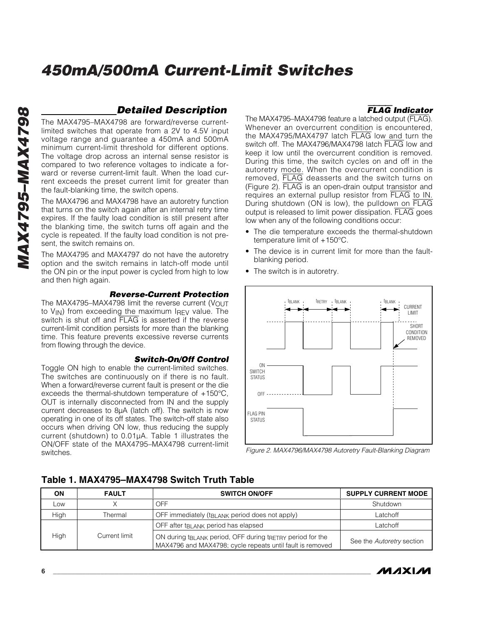## *Detailed Description*

The MAX4795–MAX4798 are forward/reverse currentlimited switches that operate from a 2V to 4.5V input voltage range and guarantee a 450mA and 500mA minimum current-limit threshold for different options. The voltage drop across an internal sense resistor is compared to two reference voltages to indicate a forward or reverse current-limit fault. When the load current exceeds the preset current limit for greater than the fault-blanking time, the switch opens.

The MAX4796 and MAX4798 have an autoretry function that turns on the switch again after an internal retry time expires. If the faulty load condition is still present after the blanking time, the switch turns off again and the cycle is repeated. If the faulty load condition is not present, the switch remains on.

The MAX4795 and MAX4797 do not have the autoretry option and the switch remains in latch-off mode until the ON pin or the input power is cycled from high to low and then high again.

#### *Reverse-Current Protection*

The MAX4795–MAX4798 limit the reverse current  $(V_{OUT}$ to  $V_{IN}$ ) from exceeding the maximum IREV value. The switch is shut off and FLAG is asserted if the reverse current-limit condition persists for more than the blanking time. This feature prevents excessive reverse currents from flowing through the device.

#### *Switch-On/Off Control*

Toggle ON high to enable the current-limited switches. The switches are continuously on if there is no fault. When a forward/reverse current fault is present or the die exceeds the thermal-shutdown temperature of  $+150^{\circ}$ C, OUT is internally disconnected from IN and the supply current decreases to 8µA (latch off). The switch is now operating in one of its off states. The switch-off state also occurs when driving ON low, thus reducing the supply current (shutdown) to 0.01µA. Table 1 illustrates the ON/OFF state of the MAX4795–MAX4798 current-limit switches.

The MAX4795–MAX4798 feature a latched output (FLAG). Whenever an overcurrent condition is encountered, the MAX4795/MAX4797 latch FLAG low and turn the switch off. The MAX4796/MAX4798 latch FLAG low and keep it low until the overcurrent condition is removed. During this time, the switch cycles on and off in the autoretry mode. When the overcurrent condition is removed, FLAG deasserts and the switch turns on (Figure 2). FLAG is an open-drain output transistor and requires an external pullup resistor from FLAG to IN. During shutdown (ON is low), the pulldown on FLAG output is released to limit power dissipation. FLAG goes low when any of the following conditions occur:

FLAG *Indicator*

- The die temperature exceeds the thermal-shutdown temperature limit of +150°C.
- The device is in current limit for more than the faultblanking period.
- The switch is in autoretry.



*Figure 2. MAX4796/MAX4798 Autoretry Fault-Blanking Diagram*

| ΟN          | <b>FAULT</b>  | <b>SWITCH ON/OFF</b>                                                                                                                           | <b>SUPPLY CURRENT MODE</b> |
|-------------|---------------|------------------------------------------------------------------------------------------------------------------------------------------------|----------------------------|
| LOW         |               | OFF                                                                                                                                            | Shutdown                   |
| <b>High</b> | Thermal       | OFF immediately (t <sub>BLANK</sub> period does not apply)                                                                                     | Latchoff                   |
|             |               | OFF after t <sub>BLANK</sub> period has elapsed                                                                                                | Latchoff                   |
| High        | Current limit | ON during t <sub>BLANK</sub> period, OFF during t <sub>RETRY</sub> period for the<br>MAX4796 and MAX4798; cycle repeats until fault is removed | See the Autoretry section  |

## **Table 1. MAX4795–MAX4798 Switch Truth Table**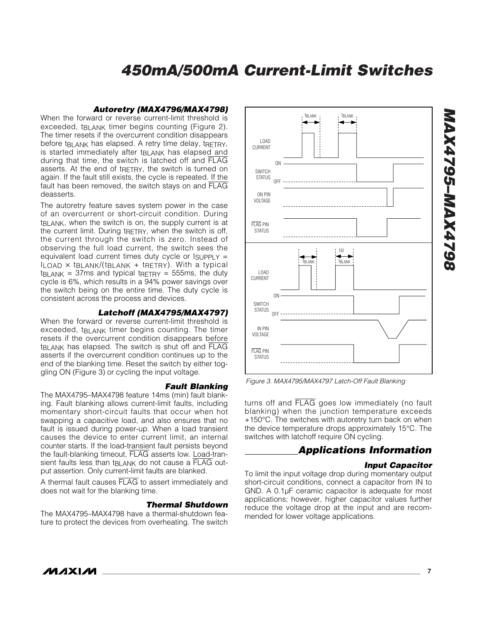#### *Autoretry (MAX4796/MAX4798)*

When the forward or reverse current-limit threshold is exceeded, t<sub>BLANK</sub> timer begins counting (Figure 2). The timer resets if the overcurrent condition disappears before t<sub>BLANK</sub> has elapsed. A retry time delay, tRETRY, is started immediately after t<sub>RLANK</sub> has elapsed and during that time, the switch is latched off and FLAG asserts. At the end of treenty, the switch is turned on again. If the fault still exists, the cycle is repeated. If the fault has been removed, the switch stays on and FLAG deasserts.

The autoretry feature saves system power in the case of an overcurrent or short-circuit condition. During t<sub>RI</sub> ANK, when the switch is on, the supply current is at the current limit. During tRETRY, when the switch is off, the current through the switch is zero. Instead of observing the full load current, the switch sees the equivalent load current times duty cycle or  $I_{\text{SUPPLY}} =$  $I_{LOAD}$   $\times$  t<sub>BLANK</sub>/(t<sub>BLANK</sub> + t<sub>RETRY</sub>). With a typical  $tBLANK = 37ms$  and typical treading  $= 555ms$ , the duty cycle is 6%, which results in a 94% power savings over the switch being on the entire time. The duty cycle is consistent across the process and devices.

#### *Latchoff (MAX4795/MAX4797)*

When the forward or reverse current-limit threshold is exceeded, t<sub>BLANK</sub> timer begins counting. The timer resets if the overcurrent condition disappears before tBLANK has elapsed. The switch is shut off and FLAG asserts if the overcurrent condition continues up to the end of the blanking time. Reset the switch by either toggling ON (Figure 3) or cycling the input voltage.

#### *Fault Blanking*

The MAX4795–MAX4798 feature 14ms (min) fault blanking. Fault blanking allows current-limit faults, including momentary short-circuit faults that occur when hot swapping a capacitive load, and also ensures that no fault is issued during power-up. When a load transient causes the device to enter current limit, an internal counter starts. If the load-transient fault persists beyond the fault-blanking timeout, FLAG asserts low. Load-transient faults less than t<sub>BLANK</sub> do not cause a FLAG output assertion. Only current-limit faults are blanked.

A thermal fault causes FLAG to assert immediately and does not wait for the blanking time.

#### *Thermal Shutdown*

The MAX4795–MAX4798 have a thermal-shutdown feature to protect the devices from overheating. The switch



*Figure 3. MAX4795/MAX4797 Latch-Off Fault Blanking*

turns off and FLAG goes low immediately (no fault blanking) when the junction temperature exceeds +150°C. The switches with autoretry turn back on when the device temperature drops approximately 15°C. The switches with latchoff require ON cycling.

#### *Applications Information*

#### *Input Capacitor*

To limit the input voltage drop during momentary output short-circuit conditions, connect a capacitor from IN to GND. A 0.1µF ceramic capacitor is adequate for most applications; however, higher capacitor values further reduce the voltage drop at the input and are recommended for lower voltage applications.

*MAX4795–MAX4798*

86*1*bXVW-96*1bXV*M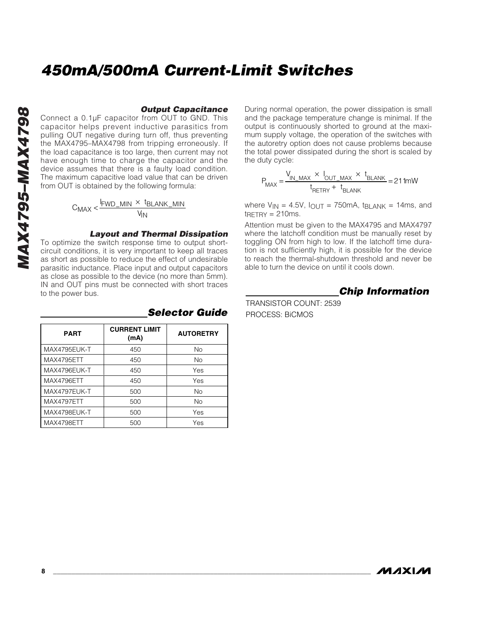#### *Output Capacitance*

Connect a 0.1µF capacitor from OUT to GND. This capacitor helps prevent inductive parasitics from pulling OUT negative during turn off, thus preventing the MAX4795–MAX4798 from tripping erroneously. If the load capacitance is too large, then current may not have enough time to charge the capacitor and the device assumes that there is a faulty load condition. The maximum capacitive load value that can be driven from OUT is obtained by the following formula:

$$
C_{MAX} < \frac{I_{FWD\_MIN} \times I_{BLANK\_MIN}}{V_{IN}}
$$

#### *Layout and Thermal Dissipation*

To optimize the switch response time to output shortcircuit conditions, it is very important to keep all traces as short as possible to reduce the effect of undesirable parasitic inductance. Place input and output capacitors as close as possible to the device (no more than 5mm). IN and OUT pins must be connected with short traces to the power bus.

| <b>PART</b>  | <b>CURRENT LIMIT</b><br>(mA) | <b>AUTORETRY</b> |
|--------------|------------------------------|------------------|
| MAX4795EUK-T | 450                          | No.              |
| MAX4795ETT   | 450                          | No.              |
| MAX4796EUK-T | 450                          | Yes              |
| MAX4796ETT   | 450                          | Yes              |
| MAX4797EUK-T | 500                          | No               |
| MAX4797ETT   | 500                          | No               |
| MAX4798EUK-T | 500                          | Yes              |
| MAX4798ETT   | 500                          | Yes              |

#### *Selector Guide*

During normal operation, the power dissipation is small and the package temperature change is minimal. If the output is continuously shorted to ground at the maximum supply voltage, the operation of the switches with the autoretry option does not cause problems because the total power dissipated during the short is scaled by the duty cycle:

$$
P_{MAX} = \frac{V_{IN\_MAX} \times I_{OUT\_MAX} \times t_{BLANK}}{t_{RETRY} + t_{BLANK}} = 211 \text{mW}
$$

where  $V_{IN} = 4.5V$ ,  $I_{OUT} = 750mA$ ,  $IBLANK = 14ms$ , and  $t$ RETRY = 210ms.

Attention must be given to the MAX4795 and MAX4797 where the latchoff condition must be manually reset by toggling ON from high to low. If the latchoff time duration is not sufficiently high, it is possible for the device to reach the thermal-shutdown threshold and never be able to turn the device on until it cools down.

*Chip Information*

TRANSISTOR COUNT: 2539 PROCESS: BiCMOS